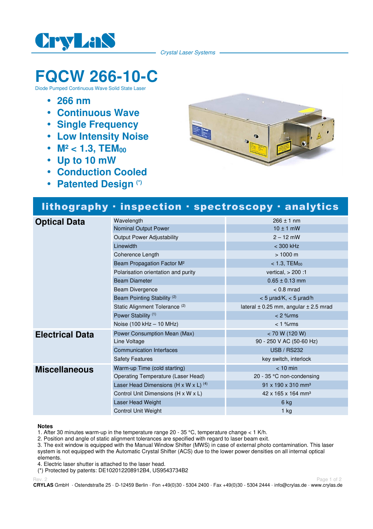

Crystal Laser Systems

# **FQCW 266-10-C**

Diode Pumped Continuous Wave Solid State Laser

- **266 nm**
- **Continuous Wave**
- **Single Frequency**
- **Low Intensity Noise**
- M<sup>2</sup> < 1.3, TEM<sub>00</sub>
- **Up to 10 mW**
- **Conduction Cooled**
- **Patented Design (\*)**



## lithography · inspection · spectroscopy · analytics

| <b>Optical Data</b>    | Wavelength                                | $266 \pm 1$ nm                                |
|------------------------|-------------------------------------------|-----------------------------------------------|
|                        | Nominal Output Power                      | $10 \pm 1$ mW                                 |
|                        | <b>Output Power Adjustability</b>         | $2 - 12$ mW                                   |
|                        | Linewidth                                 | $<$ 300 kHz                                   |
|                        | Coherence Length                          | $> 1000 \text{ m}$                            |
|                        | Beam Propagation Factor M <sup>2</sup>    | $<$ 1.3, TEM $_{00}$                          |
|                        | Polarisation orientation and purity       | vertical, $> 200:1$                           |
|                        | <b>Beam Diameter</b>                      | $0.65 \pm 0.13$ mm                            |
|                        | Beam Divergence                           | $< 0.8$ mrad                                  |
|                        | Beam Pointing Stability <sup>(2)</sup>    | $<$ 5 $\mu$ rad/K, $<$ 5 $\mu$ rad/h          |
|                        | Static Alignment Tolerance <sup>(2)</sup> | lateral $\pm$ 0.25 mm, angular $\pm$ 2.5 mrad |
|                        | Power Stability <sup>(1)</sup>            | $< 2$ % rms                                   |
|                        | Noise (100 kHz - 10 MHz)                  | $< 1$ % $rms$                                 |
| <b>Electrical Data</b> | Power Consumption Mean (Max)              | < 70 W (120 W)                                |
|                        | Line Voltage                              | 90 - 250 V AC (50-60 Hz)                      |
|                        | <b>Communication Interfaces</b>           | <b>USB / RS232</b>                            |
|                        | <b>Safety Features</b>                    | key switch, interlock                         |
| <b>Miscellaneous</b>   | Warm-up Time (cold starting)              | $< 10$ min                                    |
|                        | Operating Temperature (Laser Head)        | 20 - 35 °C non-condensing                     |
|                        | Laser Head Dimensions (H x W x L) $(4)$   | $91 \times 190 \times 310$ mm <sup>3</sup>    |
|                        | Control Unit Dimensions (H x W x L)       | 42 x 165 x 164 mm <sup>3</sup>                |
|                        | Laser Head Weight                         | 6 kg                                          |
|                        | <b>Control Unit Weight</b>                | $1$ kg                                        |

#### **Notes**

1. After 30 minutes warm-up in the temperature range 20 - 35 °C, temperature change < 1 K/h.

2. Position and angle of static alignment tolerances are specified with regard to laser beam exit.

3. The exit window is equipped with the Manual Window Shifter (MWS) in case of external photo contamination. This laser system is not equipped with the Automatic Crystal Shifter (ACS) due to the lower power densities on all internal optical elements.

4. Electric laser shutter is attached to the laser head.

(\*) Protected by patents: DE102012208912B4, US9543734B2

Rev. 2 Page 1 of 2 Page 1 of 2 Page 1 of 2 Page 1 of 2 Page 1 of 2 Page 1 of 2 Page 1 of 2 Page 1 of 2 Page 1

**CRYLAS** GmbH · Ostendstraße 25 · D-12459 Berlin · Fon +49(0)30 - 5304 2400 · Fax +49(0)30 - 5304 2444 · info@crylas.de · www.crylas.de